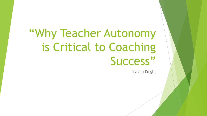# "Why Teacher Autonomy is Critical to Coaching Success"

By Jim Knight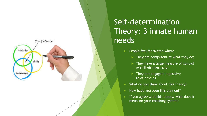

# Self-determination Theory: 3 innate human needs

- People feel motivated when:
	- $\blacktriangleright$  They are competent at what they do;
	- They have a large measure of control over their lives; and
	- $\blacktriangleright$  They are engaged in positive relationships.
- What do you think about this theory?
- How have you seen this play out?
- If you agree with this theory, what does it mean for your coaching system?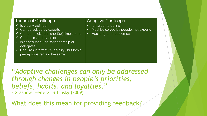#### Technical Challenge

- $\checkmark$  Is clearly defined
- Can be solved by experts
- Can be resolved in short(er) time spans
- $\checkmark$  Can be issued by edict
- $\checkmark$  Is solved by authority/leadership or delegates
- $\checkmark$  Requires informative learning, but basic perceptions remain the same

#### Adaptive Challenge

- $\checkmark$  Is harder to define
- $\checkmark$  Must be solved by people, not experts
- $\checkmark$  Has long-term outcomes

"*Adaptive challenges can only be addressed through changes in people's priorities, beliefs, habits, and loyalties*." - Grashow, Heifetz, & Linsky (2009)

What does this mean for providing feedback?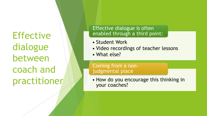**Effective** dialogue between coach and practitioner

### Effective dialogue is often enabled through a third point:

- Student Work
- Video recordings of teacher lessons
- What else?

Coming from a nonjudgmental place

• How do you encourage this thinking in your coaches?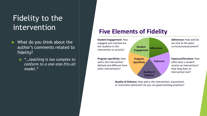## Fidelity to the intervention

- $\blacktriangleright$  What do you think about the author's comments related to fidelity?
	- ▶ "…teaching is too complex to *conform to a one-size-fits-all model."*

### **Five Elements of Fidelity**



**Quality of Delivery:** How well is the intervention, assessment, or instruction delivered? Do you use good teaching practices?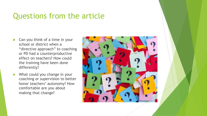## Questions from the article

- Can you think of a time in your school or district when a "directive approach" to coaching or PD had a counterproductive effect on teachers? How could the training have been done differently?
- $\blacktriangleright$  What could you change in your coaching or supervision to better honor teachers' autonomy? How comfortable are you about making that change?